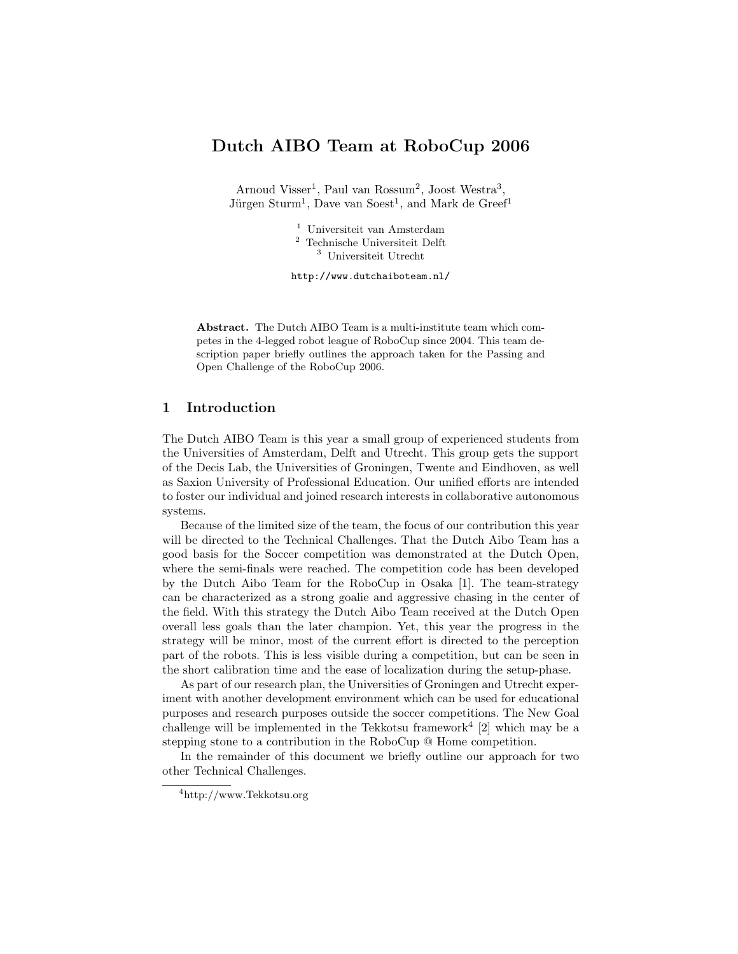# Dutch AIBO Team at RoboCup 2006

Arnoud Visser<sup>1</sup>, Paul van Rossum<sup>2</sup>, Joost Westra<sup>3</sup>, Jürgen Sturm<sup>1</sup>, Dave van Soest<sup>1</sup>, and Mark de Greef<sup>1</sup>

> <sup>1</sup> Universiteit van Amsterdam <sup>2</sup> Technische Universiteit Delft <sup>3</sup> Universiteit Utrecht

http://www.dutchaiboteam.nl/

Abstract. The Dutch AIBO Team is a multi-institute team which competes in the 4-legged robot league of RoboCup since 2004. This team description paper briefly outlines the approach taken for the Passing and Open Challenge of the RoboCup 2006.

#### 1 Introduction

The Dutch AIBO Team is this year a small group of experienced students from the Universities of Amsterdam, Delft and Utrecht. This group gets the support of the Decis Lab, the Universities of Groningen, Twente and Eindhoven, as well as Saxion University of Professional Education. Our unified efforts are intended to foster our individual and joined research interests in collaborative autonomous systems.

Because of the limited size of the team, the focus of our contribution this year will be directed to the Technical Challenges. That the Dutch Aibo Team has a good basis for the Soccer competition was demonstrated at the Dutch Open, where the semi-finals were reached. The competition code has been developed by the Dutch Aibo Team for the RoboCup in Osaka [1]. The team-strategy can be characterized as a strong goalie and aggressive chasing in the center of the field. With this strategy the Dutch Aibo Team received at the Dutch Open overall less goals than the later champion. Yet, this year the progress in the strategy will be minor, most of the current effort is directed to the perception part of the robots. This is less visible during a competition, but can be seen in the short calibration time and the ease of localization during the setup-phase.

As part of our research plan, the Universities of Groningen and Utrecht experiment with another development environment which can be used for educational purposes and research purposes outside the soccer competitions. The New Goal challenge will be implemented in the Tekkotsu framework<sup>4</sup> [2] which may be a stepping stone to a contribution in the RoboCup @ Home competition.

In the remainder of this document we briefly outline our approach for two other Technical Challenges.

<sup>4</sup>http://www.Tekkotsu.org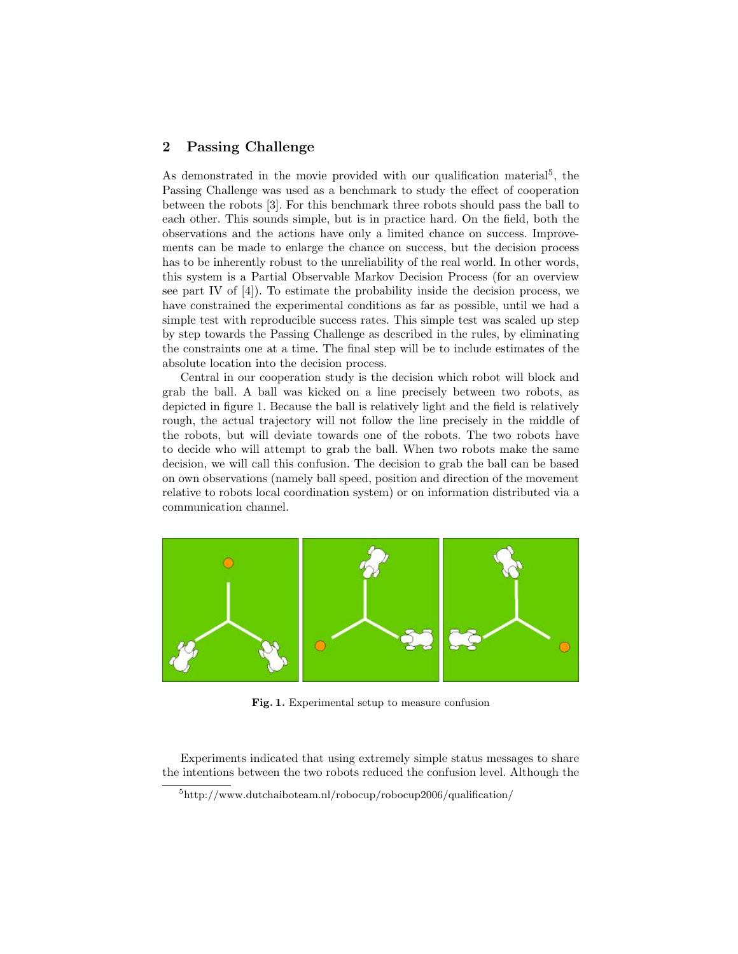### 2 Passing Challenge

As demonstrated in the movie provided with our qualification material<sup>5</sup>, the Passing Challenge was used as a benchmark to study the effect of cooperation between the robots [3]. For this benchmark three robots should pass the ball to each other. This sounds simple, but is in practice hard. On the field, both the observations and the actions have only a limited chance on success. Improvements can be made to enlarge the chance on success, but the decision process has to be inherently robust to the unreliability of the real world. In other words, this system is a Partial Observable Markov Decision Process (for an overview see part IV of [4]). To estimate the probability inside the decision process, we have constrained the experimental conditions as far as possible, until we had a simple test with reproducible success rates. This simple test was scaled up step by step towards the Passing Challenge as described in the rules, by eliminating the constraints one at a time. The final step will be to include estimates of the absolute location into the decision process.

Central in our cooperation study is the decision which robot will block and grab the ball. A ball was kicked on a line precisely between two robots, as depicted in figure 1. Because the ball is relatively light and the field is relatively rough, the actual trajectory will not follow the line precisely in the middle of the robots, but will deviate towards one of the robots. The two robots have to decide who will attempt to grab the ball. When two robots make the same decision, we will call this confusion. The decision to grab the ball can be based on own observations (namely ball speed, position and direction of the movement relative to robots local coordination system) or on information distributed via a communication channel.



Fig. 1. Experimental setup to measure confusion

Experiments indicated that using extremely simple status messages to share the intentions between the two robots reduced the confusion level. Although the

 $5$ http://www.dutchaiboteam.nl/robocup/robocup2006/qualification/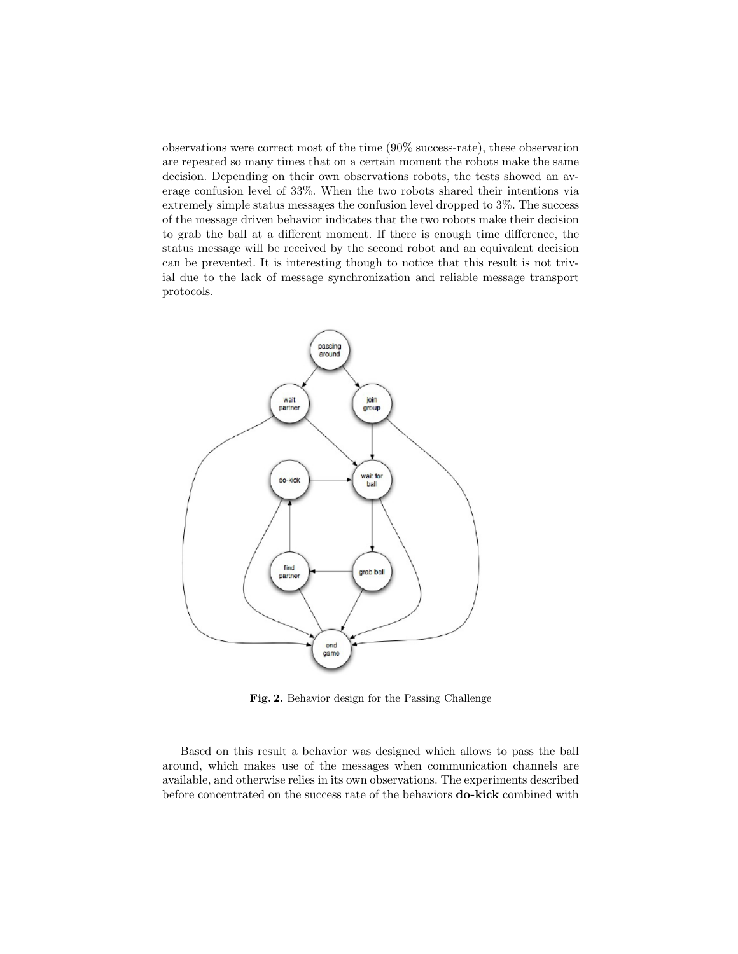observations were correct most of the time (90% success-rate), these observation are repeated so many times that on a certain moment the robots make the same decision. Depending on their own observations robots, the tests showed an average confusion level of 33%. When the two robots shared their intentions via extremely simple status messages the confusion level dropped to 3%. The success of the message driven behavior indicates that the two robots make their decision to grab the ball at a different moment. If there is enough time difference, the status message will be received by the second robot and an equivalent decision can be prevented. It is interesting though to notice that this result is not trivial due to the lack of message synchronization and reliable message transport protocols.



Fig. 2. Behavior design for the Passing Challenge

Based on this result a behavior was designed which allows to pass the ball around, which makes use of the messages when communication channels are available, and otherwise relies in its own observations. The experiments described before concentrated on the success rate of the behaviors do-kick combined with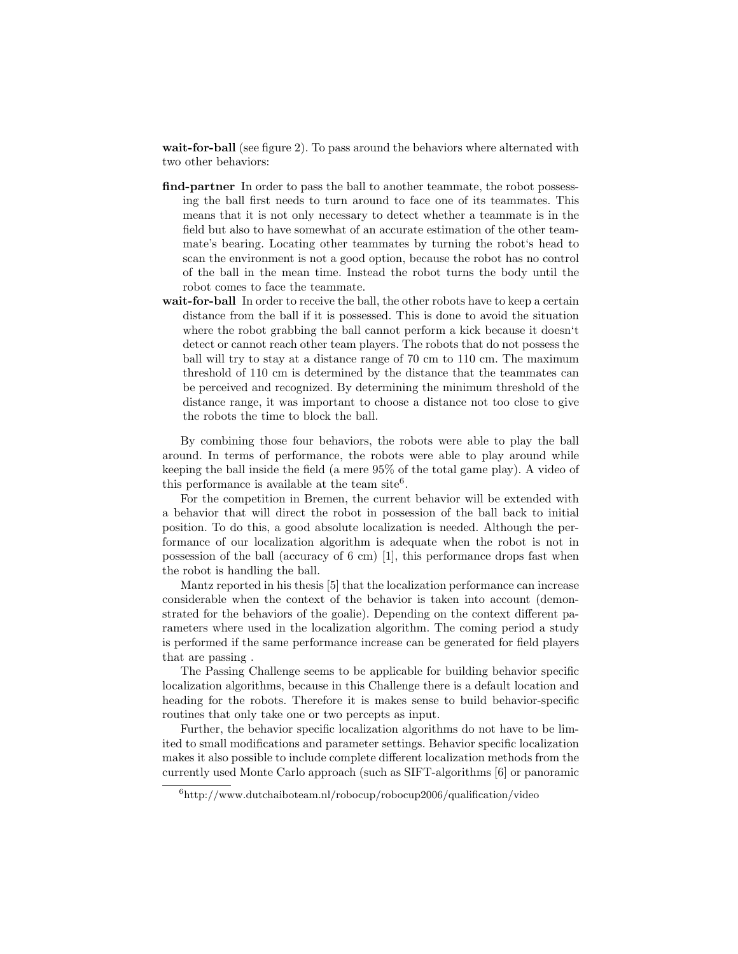wait-for-ball (see figure 2). To pass around the behaviors where alternated with two other behaviors:

- find-partner In order to pass the ball to another teammate, the robot possessing the ball first needs to turn around to face one of its teammates. This means that it is not only necessary to detect whether a teammate is in the field but also to have somewhat of an accurate estimation of the other teammate's bearing. Locating other teammates by turning the robot's head to scan the environment is not a good option, because the robot has no control of the ball in the mean time. Instead the robot turns the body until the robot comes to face the teammate.
- wait-for-ball In order to receive the ball, the other robots have to keep a certain distance from the ball if it is possessed. This is done to avoid the situation where the robot grabbing the ball cannot perform a kick because it doesn't detect or cannot reach other team players. The robots that do not possess the ball will try to stay at a distance range of 70 cm to 110 cm. The maximum threshold of 110 cm is determined by the distance that the teammates can be perceived and recognized. By determining the minimum threshold of the distance range, it was important to choose a distance not too close to give the robots the time to block the ball.

By combining those four behaviors, the robots were able to play the ball around. In terms of performance, the robots were able to play around while keeping the ball inside the field (a mere 95% of the total game play). A video of this performance is available at the team site<sup>6</sup>.

For the competition in Bremen, the current behavior will be extended with a behavior that will direct the robot in possession of the ball back to initial position. To do this, a good absolute localization is needed. Although the performance of our localization algorithm is adequate when the robot is not in possession of the ball (accuracy of 6 cm) [1], this performance drops fast when the robot is handling the ball.

Mantz reported in his thesis [5] that the localization performance can increase considerable when the context of the behavior is taken into account (demonstrated for the behaviors of the goalie). Depending on the context different parameters where used in the localization algorithm. The coming period a study is performed if the same performance increase can be generated for field players that are passing .

The Passing Challenge seems to be applicable for building behavior specific localization algorithms, because in this Challenge there is a default location and heading for the robots. Therefore it is makes sense to build behavior-specific routines that only take one or two percepts as input.

Further, the behavior specific localization algorithms do not have to be limited to small modifications and parameter settings. Behavior specific localization makes it also possible to include complete different localization methods from the currently used Monte Carlo approach (such as SIFT-algorithms [6] or panoramic

 $6$ http://www.dutchaiboteam.nl/robocup/robocup2006/qualification/video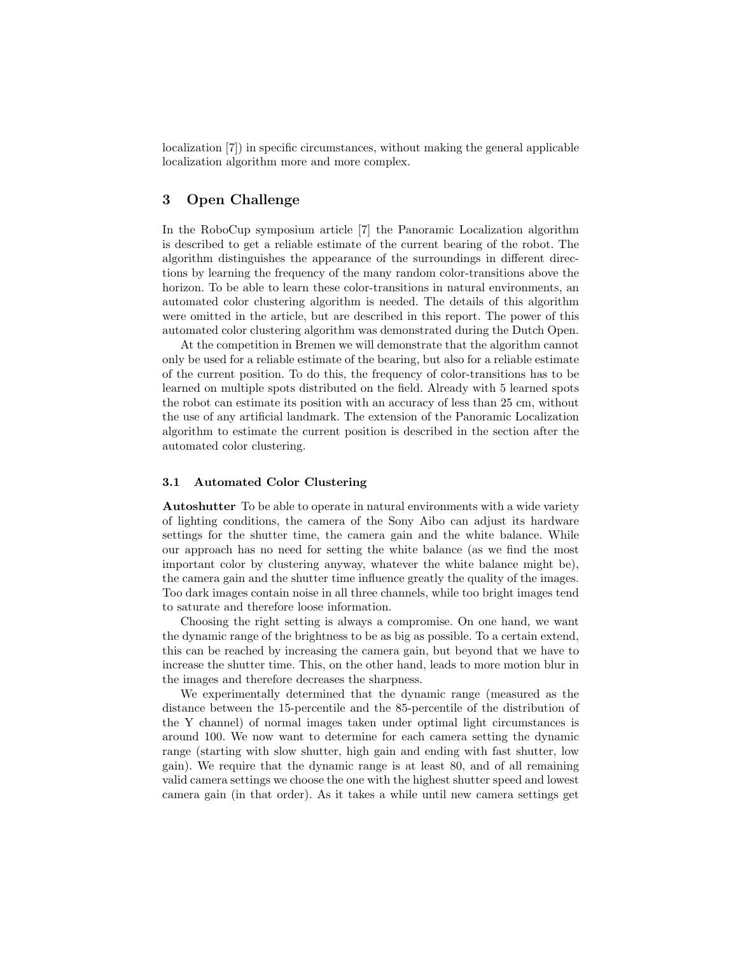localization [7]) in specific circumstances, without making the general applicable localization algorithm more and more complex.

### 3 Open Challenge

In the RoboCup symposium article [7] the Panoramic Localization algorithm is described to get a reliable estimate of the current bearing of the robot. The algorithm distinguishes the appearance of the surroundings in different directions by learning the frequency of the many random color-transitions above the horizon. To be able to learn these color-transitions in natural environments, an automated color clustering algorithm is needed. The details of this algorithm were omitted in the article, but are described in this report. The power of this automated color clustering algorithm was demonstrated during the Dutch Open.

At the competition in Bremen we will demonstrate that the algorithm cannot only be used for a reliable estimate of the bearing, but also for a reliable estimate of the current position. To do this, the frequency of color-transitions has to be learned on multiple spots distributed on the field. Already with 5 learned spots the robot can estimate its position with an accuracy of less than 25 cm, without the use of any artificial landmark. The extension of the Panoramic Localization algorithm to estimate the current position is described in the section after the automated color clustering.

#### 3.1 Automated Color Clustering

Autoshutter To be able to operate in natural environments with a wide variety of lighting conditions, the camera of the Sony Aibo can adjust its hardware settings for the shutter time, the camera gain and the white balance. While our approach has no need for setting the white balance (as we find the most important color by clustering anyway, whatever the white balance might be), the camera gain and the shutter time influence greatly the quality of the images. Too dark images contain noise in all three channels, while too bright images tend to saturate and therefore loose information.

Choosing the right setting is always a compromise. On one hand, we want the dynamic range of the brightness to be as big as possible. To a certain extend, this can be reached by increasing the camera gain, but beyond that we have to increase the shutter time. This, on the other hand, leads to more motion blur in the images and therefore decreases the sharpness.

We experimentally determined that the dynamic range (measured as the distance between the 15-percentile and the 85-percentile of the distribution of the Y channel) of normal images taken under optimal light circumstances is around 100. We now want to determine for each camera setting the dynamic range (starting with slow shutter, high gain and ending with fast shutter, low gain). We require that the dynamic range is at least 80, and of all remaining valid camera settings we choose the one with the highest shutter speed and lowest camera gain (in that order). As it takes a while until new camera settings get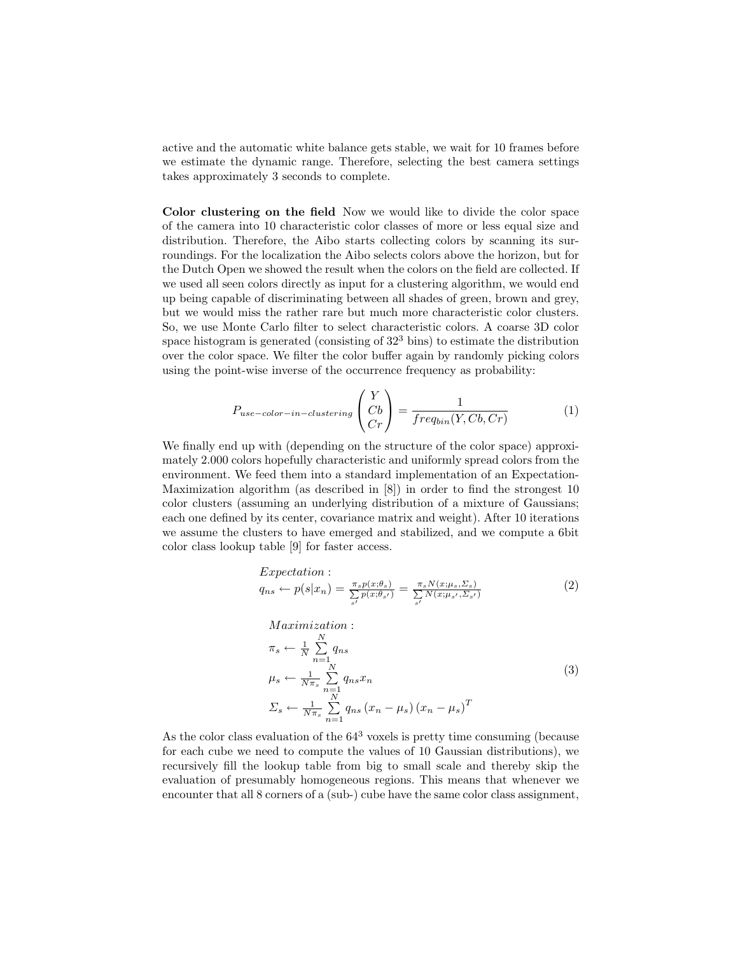active and the automatic white balance gets stable, we wait for 10 frames before we estimate the dynamic range. Therefore, selecting the best camera settings takes approximately 3 seconds to complete.

Color clustering on the field Now we would like to divide the color space of the camera into 10 characteristic color classes of more or less equal size and distribution. Therefore, the Aibo starts collecting colors by scanning its surroundings. For the localization the Aibo selects colors above the horizon, but for the Dutch Open we showed the result when the colors on the field are collected. If we used all seen colors directly as input for a clustering algorithm, we would end up being capable of discriminating between all shades of green, brown and grey, but we would miss the rather rare but much more characteristic color clusters. So, we use Monte Carlo filter to select characteristic colors. A coarse 3D color space histogram is generated (consisting of  $32<sup>3</sup>$  bins) to estimate the distribution over the color space. We filter the color buffer again by randomly picking colors using the point-wise inverse of the occurrence frequency as probability:

$$
P_{use-color-in-clustering} \begin{pmatrix} Y \\ Cb \\ Cr \end{pmatrix} = \frac{1}{freq_{bin}(Y, Cb, Cr)} \tag{1}
$$

We finally end up with (depending on the structure of the color space) approximately 2.000 colors hopefully characteristic and uniformly spread colors from the environment. We feed them into a standard implementation of an Expectation-Maximization algorithm (as described in [8]) in order to find the strongest 10 color clusters (assuming an underlying distribution of a mixture of Gaussians; each one defined by its center, covariance matrix and weight). After 10 iterations we assume the clusters to have emerged and stabilized, and we compute a 6bit color class lookup table [9] for faster access.

$$
Expectation: q_{ns} \leftarrow p(s|x_n) = \frac{\pi_s p(x; \theta_s)}{\sum_{s'} p(x; \theta_{s'})} = \frac{\pi_s N(x; \mu_s, \Sigma_s)}{\sum_{s'} N(x; \mu_{s'}, \Sigma_{s'})}
$$
(2)

$$
Maximization: \n\pi_s \leftarrow \frac{1}{N} \sum_{n=1}^{N} q_{ns}
$$
\n
$$
\mu_s \leftarrow \frac{1}{N\pi_s} \sum_{n=1}^{N} q_{ns} x_n
$$
\n
$$
\Sigma_s \leftarrow \frac{1}{N\pi_s} \sum_{n=1}^{N} q_{ns} (x_n - \mu_s) (x_n - \mu_s)^T
$$
\n(3)

As the color class evaluation of the  $64<sup>3</sup>$  voxels is pretty time consuming (because for each cube we need to compute the values of 10 Gaussian distributions), we recursively fill the lookup table from big to small scale and thereby skip the evaluation of presumably homogeneous regions. This means that whenever we encounter that all 8 corners of a (sub-) cube have the same color class assignment,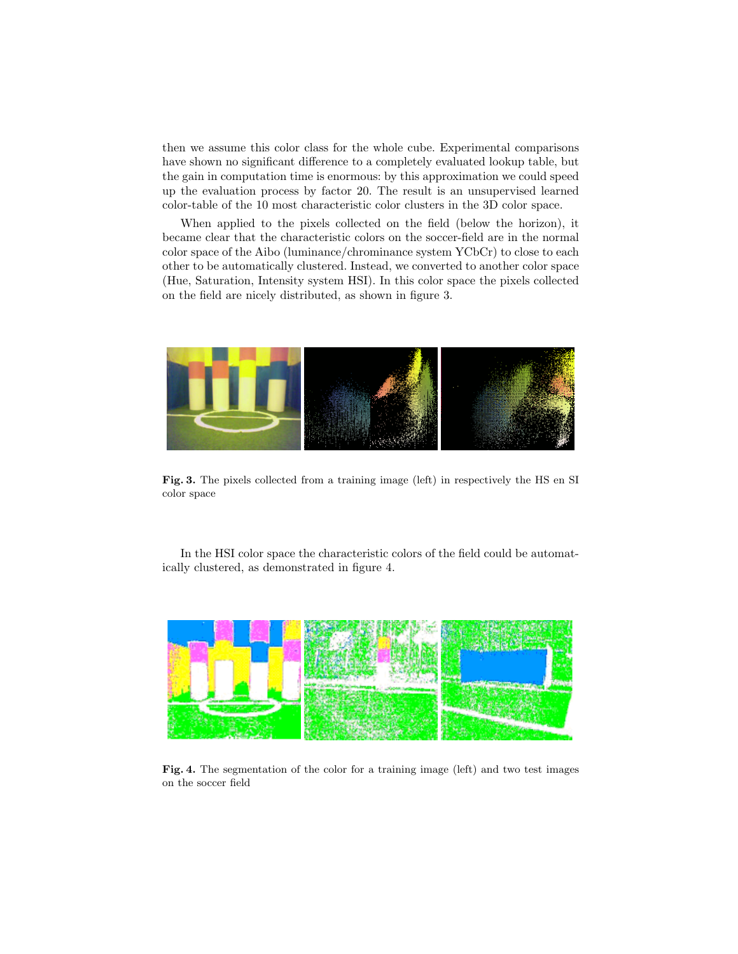then we assume this color class for the whole cube. Experimental comparisons have shown no significant difference to a completely evaluated lookup table, but the gain in computation time is enormous: by this approximation we could speed up the evaluation process by factor 20. The result is an unsupervised learned color-table of the 10 most characteristic color clusters in the 3D color space.

When applied to the pixels collected on the field (below the horizon), it became clear that the characteristic colors on the soccer-field are in the normal color space of the Aibo (luminance/chrominance system YCbCr) to close to each other to be automatically clustered. Instead, we converted to another color space (Hue, Saturation, Intensity system HSI). In this color space the pixels collected on the field are nicely distributed, as shown in figure 3.



Fig. 3. The pixels collected from a training image (left) in respectively the HS en SI color space

In the HSI color space the characteristic colors of the field could be automatically clustered, as demonstrated in figure 4.



Fig. 4. The segmentation of the color for a training image (left) and two test images on the soccer field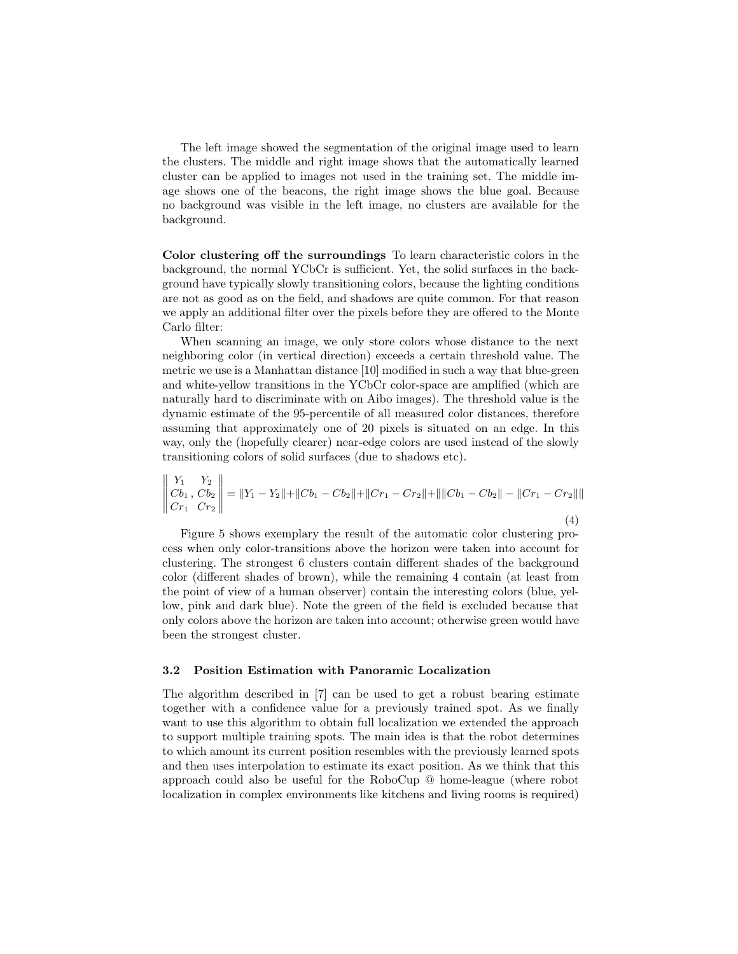The left image showed the segmentation of the original image used to learn the clusters. The middle and right image shows that the automatically learned cluster can be applied to images not used in the training set. The middle image shows one of the beacons, the right image shows the blue goal. Because no background was visible in the left image, no clusters are available for the background.

Color clustering off the surroundings To learn characteristic colors in the background, the normal YCbCr is sufficient. Yet, the solid surfaces in the background have typically slowly transitioning colors, because the lighting conditions are not as good as on the field, and shadows are quite common. For that reason we apply an additional filter over the pixels before they are offered to the Monte Carlo filter:

When scanning an image, we only store colors whose distance to the next neighboring color (in vertical direction) exceeds a certain threshold value. The metric we use is a Manhattan distance [10] modified in such a way that blue-green and white-yellow transitions in the YCbCr color-space are amplified (which are naturally hard to discriminate with on Aibo images). The threshold value is the dynamic estimate of the 95-percentile of all measured color distances, therefore assuming that approximately one of 20 pixels is situated on an edge. In this way, only the (hopefully clearer) near-edge colors are used instead of the slowly transitioning colors of solid surfaces (due to shadows etc).

$$
\begin{vmatrix} Y_1 & Y_2 \ Cb_1 & Cb_2 \ Cr_1 & Cr_2 \end{vmatrix} = ||Y_1 - Y_2|| + ||Cb_1 - Cb_2|| + ||Cr_1 - Cr_2|| + ||||Cb_1 - Cb_2|| - ||Cr_1 - Cr_2||||
$$
\n(4)

Figure 5 shows exemplary the result of the automatic color clustering process when only color-transitions above the horizon were taken into account for clustering. The strongest 6 clusters contain different shades of the background color (different shades of brown), while the remaining 4 contain (at least from the point of view of a human observer) contain the interesting colors (blue, yellow, pink and dark blue). Note the green of the field is excluded because that only colors above the horizon are taken into account; otherwise green would have been the strongest cluster.

#### 3.2 Position Estimation with Panoramic Localization

The algorithm described in [7] can be used to get a robust bearing estimate together with a confidence value for a previously trained spot. As we finally want to use this algorithm to obtain full localization we extended the approach to support multiple training spots. The main idea is that the robot determines to which amount its current position resembles with the previously learned spots and then uses interpolation to estimate its exact position. As we think that this approach could also be useful for the RoboCup @ home-league (where robot localization in complex environments like kitchens and living rooms is required)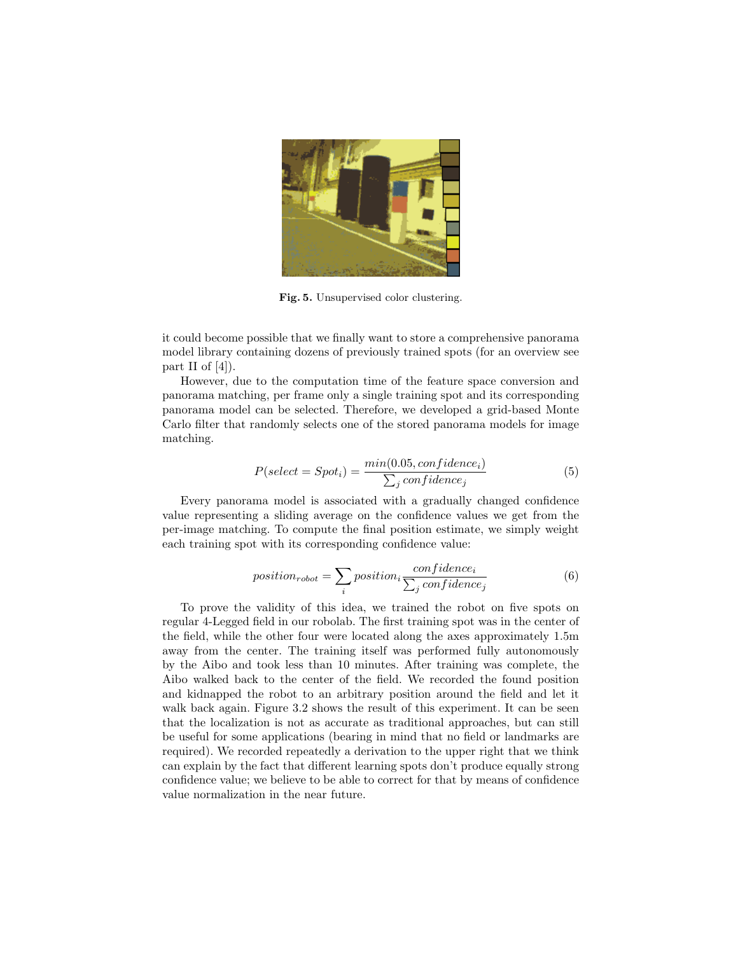

Fig. 5. Unsupervised color clustering.

it could become possible that we finally want to store a comprehensive panorama model library containing dozens of previously trained spots (for an overview see part II of  $[4]$ ).

However, due to the computation time of the feature space conversion and panorama matching, per frame only a single training spot and its corresponding panorama model can be selected. Therefore, we developed a grid-based Monte Carlo filter that randomly selects one of the stored panorama models for image matching.

$$
P(self = Spot_i) = \frac{min(0.05, confidence_i)}{\sum_j confidence_j}
$$
\n<sup>(5)</sup>

Every panorama model is associated with a gradually changed confidence value representing a sliding average on the confidence values we get from the per-image matching. To compute the final position estimate, we simply weight each training spot with its corresponding confidence value:

$$
position_{robot} = \sum_{i} position_{i} \frac{confidence_{i}}{\sum_{j} confidence_{j}} \tag{6}
$$

To prove the validity of this idea, we trained the robot on five spots on regular 4-Legged field in our robolab. The first training spot was in the center of the field, while the other four were located along the axes approximately 1.5m away from the center. The training itself was performed fully autonomously by the Aibo and took less than 10 minutes. After training was complete, the Aibo walked back to the center of the field. We recorded the found position and kidnapped the robot to an arbitrary position around the field and let it walk back again. Figure 3.2 shows the result of this experiment. It can be seen that the localization is not as accurate as traditional approaches, but can still be useful for some applications (bearing in mind that no field or landmarks are required). We recorded repeatedly a derivation to the upper right that we think can explain by the fact that different learning spots don't produce equally strong confidence value; we believe to be able to correct for that by means of confidence value normalization in the near future.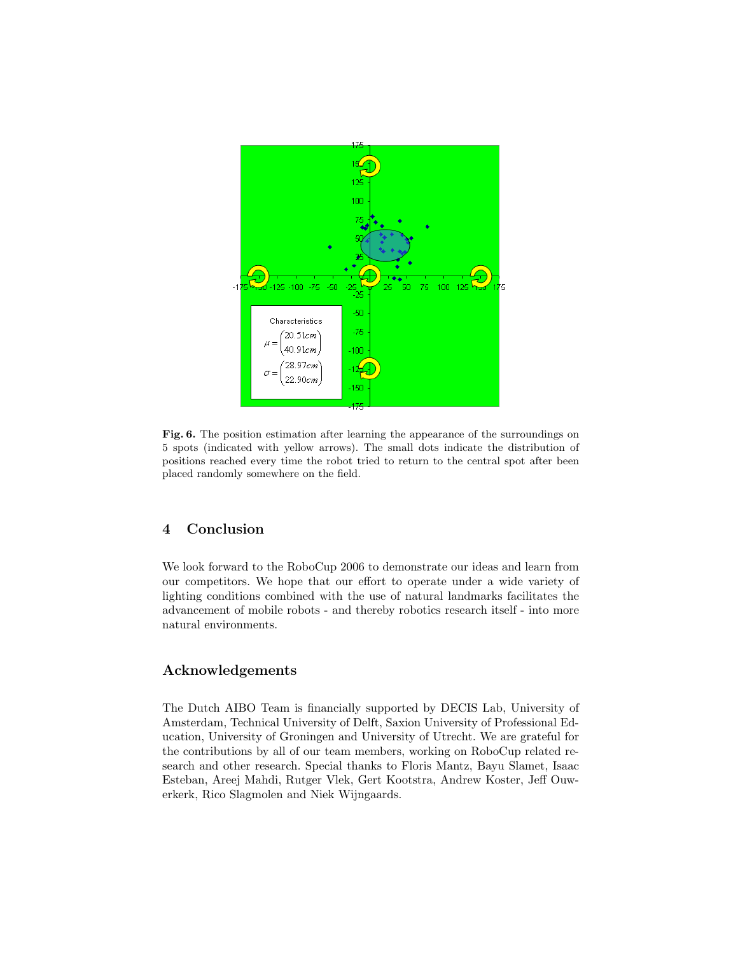

Fig. 6. The position estimation after learning the appearance of the surroundings on 5 spots (indicated with yellow arrows). The small dots indicate the distribution of positions reached every time the robot tried to return to the central spot after been placed randomly somewhere on the field.

## 4 Conclusion

We look forward to the RoboCup 2006 to demonstrate our ideas and learn from our competitors. We hope that our effort to operate under a wide variety of lighting conditions combined with the use of natural landmarks facilitates the advancement of mobile robots - and thereby robotics research itself - into more natural environments.

### Acknowledgements

The Dutch AIBO Team is financially supported by DECIS Lab, University of Amsterdam, Technical University of Delft, Saxion University of Professional Education, University of Groningen and University of Utrecht. We are grateful for the contributions by all of our team members, working on RoboCup related research and other research. Special thanks to Floris Mantz, Bayu Slamet, Isaac Esteban, Areej Mahdi, Rutger Vlek, Gert Kootstra, Andrew Koster, Jeff Ouwerkerk, Rico Slagmolen and Niek Wijngaards.